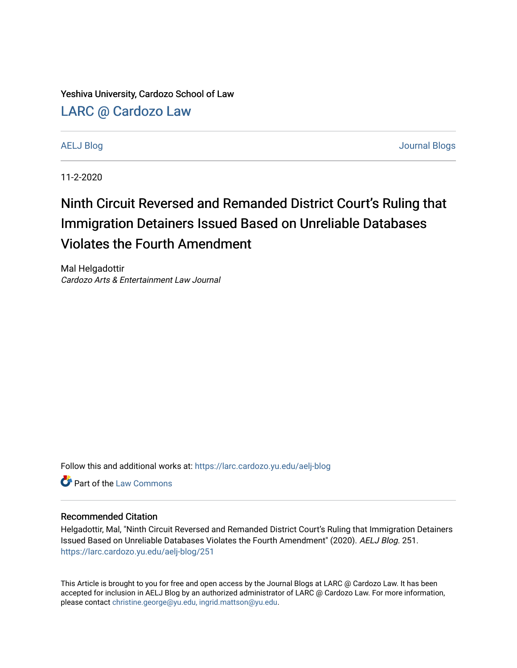Yeshiva University, Cardozo School of Law

[LARC @ Cardozo Law](https://larc.cardozo.yu.edu/)

[AELJ Blog](https://larc.cardozo.yu.edu/aelj-blog) [Journal Blogs](https://larc.cardozo.yu.edu/journal-blogs) 

11-2-2020

## Ninth Circuit Reversed and Remanded District Court's Ruling that Immigration Detainers Issued Based on Unreliable Databases Violates the Fourth Amendment

Mal Helgadottir Cardozo Arts & Entertainment Law Journal

Follow this and additional works at: [https://larc.cardozo.yu.edu/aelj-blog](https://larc.cardozo.yu.edu/aelj-blog?utm_source=larc.cardozo.yu.edu%2Faelj-blog%2F251&utm_medium=PDF&utm_campaign=PDFCoverPages) 

**C** Part of the [Law Commons](http://network.bepress.com/hgg/discipline/578?utm_source=larc.cardozo.yu.edu%2Faelj-blog%2F251&utm_medium=PDF&utm_campaign=PDFCoverPages)

## Recommended Citation

Helgadottir, Mal, "Ninth Circuit Reversed and Remanded District Court's Ruling that Immigration Detainers Issued Based on Unreliable Databases Violates the Fourth Amendment" (2020). AELJ Blog. 251. [https://larc.cardozo.yu.edu/aelj-blog/251](https://larc.cardozo.yu.edu/aelj-blog/251?utm_source=larc.cardozo.yu.edu%2Faelj-blog%2F251&utm_medium=PDF&utm_campaign=PDFCoverPages) 

This Article is brought to you for free and open access by the Journal Blogs at LARC @ Cardozo Law. It has been accepted for inclusion in AELJ Blog by an authorized administrator of LARC @ Cardozo Law. For more information, please contact [christine.george@yu.edu, ingrid.mattson@yu.edu.](mailto:christine.george@yu.edu,%20ingrid.mattson@yu.edu)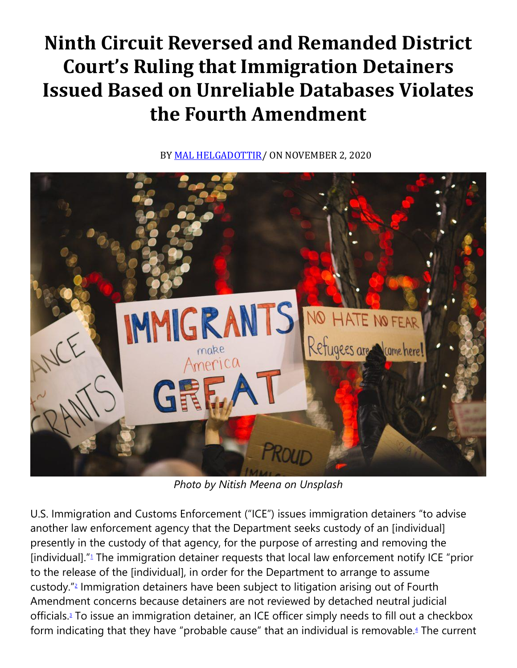## **Ninth Circuit Reversed and Remanded District Court's Ruling that Immigration Detainers Issued Based on Unreliable Databases Violates the Fourth Amendment**

BY [MAL HELGADOTTIR/](https://cardozoaelj.com/author/mal-helgadottir/) ON NOVEMBER 2, 2020



*Photo by Nitish Meena on Unsplash*

U.S. Immigration and Customs Enforcement ("ICE") issues immigration detainers "to advise another law enforcement agency that the Department seeks custody of an [individual] presently in the custody of that agency, for the purpose of arresting and removing the [individual].["](https://cardozoaelj.com/2020/11/02/ninth-circuit-reversed-and-remanded-district-courts-ruling-that-immigration-detainers-issued-based-on-unreliable-databases-violates-the-fourth-amendment/#easy-footnote-bottom-1-6553)<sup>1</sup> The immigration detainer requests that local law enforcement notify ICE "prior to the release of the [individual], in order for the Department to arrange to assume custody.["](https://cardozoaelj.com/2020/11/02/ninth-circuit-reversed-and-remanded-district-courts-ruling-that-immigration-detainers-issued-based-on-unreliable-databases-violates-the-fourth-amendment/#easy-footnote-bottom-2-6553)<sup>2</sup> Immigration detainers have been subject to litigation arising out of Fourth Amendment concerns because detainers are not reviewed by detached neutral judicial officials[.](https://cardozoaelj.com/2020/11/02/ninth-circuit-reversed-and-remanded-district-courts-ruling-that-immigration-detainers-issued-based-on-unreliable-databases-violates-the-fourth-amendment/#easy-footnote-bottom-3-6553)<sup>3</sup> To issue an immigration detainer, an ICE officer simply needs to fill out a checkbox form indicating that they have "probable cause" that an individual is removable[.](https://cardozoaelj.com/2020/11/02/ninth-circuit-reversed-and-remanded-district-courts-ruling-that-immigration-detainers-issued-based-on-unreliable-databases-violates-the-fourth-amendment/#easy-footnote-bottom-4-6553)<sup>4</sup> The current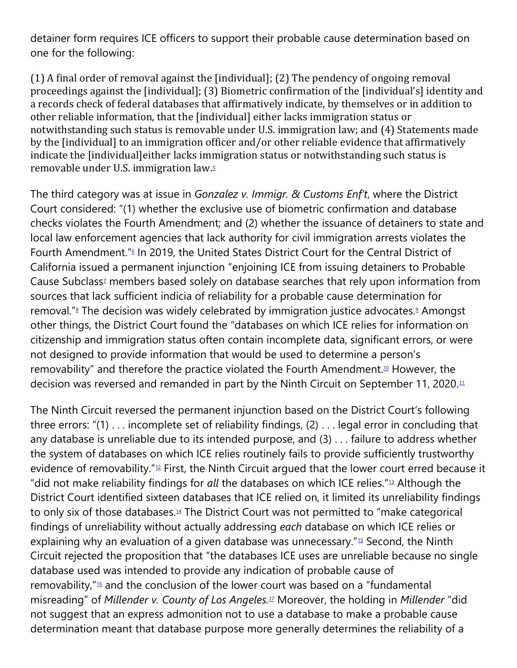detainer form requires ICE officers to support their probable cause determination based on one for the following:

(1) A final order of removal against the [individual]; (2) The pendency of ongoing removal proceedings against the [individual]; (3) Biometric confirmation of the [individual's] identity and a records check of federal databases that affirmatively indicate, by themselves or in addition to other reliable information, that the [individual] either lacks immigration status or notwithstanding such status is removable under U.S. immigration law; and (4) Statements made by the [individual] to an immigration officer and/or other reliable evidence that affirmatively indicate the [individual]either lacks immigration status or notwithstanding such status is removable under U.S. immigration law[.](https://cardozoaelj.com/2020/11/02/ninth-circuit-reversed-and-remanded-district-courts-ruling-that-immigration-detainers-issued-based-on-unreliable-databases-violates-the-fourth-amendment/#easy-footnote-bottom-5-6553)<sup>5</sup>

The third category was at issue in *Gonzalez v. Immigr. & Customs Enf't*, where the District Court considered: "(1) whether the exclusive use of biometric confirmation and database checks violates the Fourth Amendment; and (2) whether the issuance of detainers to state and local law enforcement agencies that lack authority for civil immigration arrests violates the Fourth Amendment.["](https://cardozoaelj.com/2020/11/02/ninth-circuit-reversed-and-remanded-district-courts-ruling-that-immigration-detainers-issued-based-on-unreliable-databases-violates-the-fourth-amendment/#easy-footnote-bottom-6-6553)<sup>6</sup> In 2019, the United States District Court for the Central District of California issued a permanent injunction "enjoining ICE from issuing detainers to Probable Cau[s](https://cardozoaelj.com/2020/11/02/ninth-circuit-reversed-and-remanded-district-courts-ruling-that-immigration-detainers-issued-based-on-unreliable-databases-violates-the-fourth-amendment/#easy-footnote-bottom-7-6553)e Subclass<sup>1</sup> members based solely on database searches that rely upon information from sources that lack sufficient indicia of reliability for a probable cause determination for removal.["](https://cardozoaelj.com/2020/11/02/ninth-circuit-reversed-and-remanded-district-courts-ruling-that-immigration-detainers-issued-based-on-unreliable-databases-violates-the-fourth-amendment/#easy-footnote-bottom-8-6553)<sup>8</sup> The decision was widely celebrated by immigration justice advocates[.](https://cardozoaelj.com/2020/11/02/ninth-circuit-reversed-and-remanded-district-courts-ruling-that-immigration-detainers-issued-based-on-unreliable-databases-violates-the-fourth-amendment/#easy-footnote-bottom-9-6553)<sup>9</sup> Amongst other things, the District Court found the "databases on which ICE relies for information on citizenship and immigration status often contain incomplete data, significant errors, or were not designed to provide information that would be used to determine a person's removability" and therefore the practice violated the Fourth Amendment.<sup>[10](https://cardozoaelj.com/2020/11/02/ninth-circuit-reversed-and-remanded-district-courts-ruling-that-immigration-detainers-issued-based-on-unreliable-databases-violates-the-fourth-amendment/#easy-footnote-bottom-10-6553)</sup> However, the decision was reversed and remanded in part by the Ninth Circuit on September [11](https://cardozoaelj.com/2020/11/02/ninth-circuit-reversed-and-remanded-district-courts-ruling-that-immigration-detainers-issued-based-on-unreliable-databases-violates-the-fourth-amendment/#easy-footnote-bottom-11-6553), 2020.<sup>11</sup>

The Ninth Circuit reversed the permanent injunction based on the District Court's following three errors: "(1) . . . incomplete set of reliability findings, (2) . . . legal error in concluding that any database is unreliable due to its intended purpose, and (3) . . . failure to address whether the system of databases on which ICE relies routinely fails to provide sufficiently trustworthy evidence of removability."[12](https://cardozoaelj.com/2020/11/02/ninth-circuit-reversed-and-remanded-district-courts-ruling-that-immigration-detainers-issued-based-on-unreliable-databases-violates-the-fourth-amendment/#easy-footnote-bottom-12-6553) First, the Ninth Circuit argued that the lower court erred because it "did not make reliability findings for *all* the databases on which ICE relies."[13](https://cardozoaelj.com/2020/11/02/ninth-circuit-reversed-and-remanded-district-courts-ruling-that-immigration-detainers-issued-based-on-unreliable-databases-violates-the-fourth-amendment/#easy-footnote-bottom-13-6553) Although the District Court identified sixteen databases that ICE relied on, it limited its unreliability findings to only six of those databases. $44$  The District Court was not permitted to "make categorical findings of unreliability without actually addressing *each* database on which ICE relies or explaining why an evaluation of a given database was unnecessary." $15$  Second, the Ninth Circuit rejected the proposition that "the databases ICE uses are unreliable because no single database used was intended to provide any indication of probable cause of removability," $\frac{16}{16}$  $\frac{16}{16}$  $\frac{16}{16}$  and the conclusion of the lower court was based on a "fundamental misreading" of *Millender v. County of Los Angeles.[17](https://cardozoaelj.com/2020/11/02/ninth-circuit-reversed-and-remanded-district-courts-ruling-that-immigration-detainers-issued-based-on-unreliable-databases-violates-the-fourth-amendment/#easy-footnote-bottom-17-6553)* Moreover, the holding in *Millender* "did not suggest that an express admonition not to use a database to make a probable cause determination meant that database purpose more generally determines the reliability of a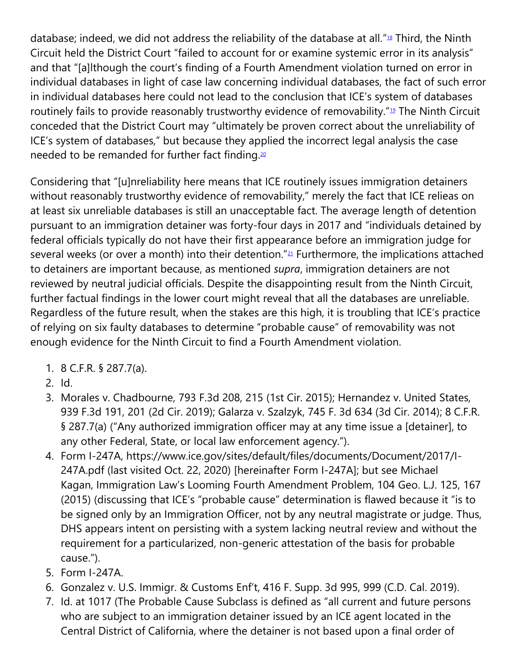database; indeed, we did not address the reliability of the database at all."<sup>[18](https://cardozoaelj.com/2020/11/02/ninth-circuit-reversed-and-remanded-district-courts-ruling-that-immigration-detainers-issued-based-on-unreliable-databases-violates-the-fourth-amendment/#easy-footnote-bottom-18-6553)</sup> Third, the Ninth Circuit held the District Court "failed to account for or examine systemic error in its analysis" and that "[a]lthough the court's finding of a Fourth Amendment violation turned on error in individual databases in light of case law concerning individual databases, the fact of such error in individual databases here could not lead to the conclusion that ICE's system of databases routinely fails to provide reasonably trustworthy evidence of removability."<sup>[19](https://cardozoaelj.com/2020/11/02/ninth-circuit-reversed-and-remanded-district-courts-ruling-that-immigration-detainers-issued-based-on-unreliable-databases-violates-the-fourth-amendment/#easy-footnote-bottom-19-6553)</sup> The Ninth Circuit conceded that the District Court may "ultimately be proven correct about the unreliability of ICE's system of databases," but because they applied the incorrect legal analysis the case needed to be remanded for further fact finding.<sup>[20](https://cardozoaelj.com/2020/11/02/ninth-circuit-reversed-and-remanded-district-courts-ruling-that-immigration-detainers-issued-based-on-unreliable-databases-violates-the-fourth-amendment/#easy-footnote-bottom-20-6553)</sup>

Considering that "[u]nreliability here means that ICE routinely issues immigration detainers without reasonably trustworthy evidence of removability," merely the fact that ICE relieas on at least six unreliable databases is still an unacceptable fact. The average length of detention pursuant to an immigration detainer was forty-four days in 2017 and "individuals detained by federal officials typically do not have their first appearance before an immigration judge for several weeks (or over a month) into their detention."<sup>[21](https://cardozoaelj.com/2020/11/02/ninth-circuit-reversed-and-remanded-district-courts-ruling-that-immigration-detainers-issued-based-on-unreliable-databases-violates-the-fourth-amendment/#easy-footnote-bottom-21-6553)</sup> Furthermore, the implications attached to detainers are important because, as mentioned *supra*, immigration detainers are not reviewed by neutral judicial officials. Despite the disappointing result from the Ninth Circuit, further factual findings in the lower court might reveal that all the databases are unreliable. Regardless of the future result, when the stakes are this high, it is troubling that ICE's practice of relying on six faulty databases to determine "probable cause" of removability was not enough evidence for the Ninth Circuit to find a Fourth Amendment violation.

- 1. 8 C.F.R. § 287.7(a).
- 2. Id.
- 3. Morales v. Chadbourne, 793 F.3d 208, 215 (1st Cir. 2015); Hernandez v. United States, 939 F.3d 191, 201 (2d Cir. 2019); Galarza v. Szalzyk, 745 F. 3d 634 (3d Cir. 2014); 8 C.F.R. § 287.7(a) ("Any authorized immigration officer may at any time issue a [detainer], to any other Federal, State, or local law enforcement agency.").
- 4. Form I-247A, https://www.ice.gov/sites/default/files/documents/Document/2017/I-247A.pdf (last visited Oct. 22, 2020) [hereinafter Form I-247A]; but see Michael Kagan, Immigration Law's Looming Fourth Amendment Problem, 104 Geo. L.J. 125, 167 (2015) (discussing that ICE's "probable cause" determination is flawed because it "is to be signed only by an Immigration Officer, not by any neutral magistrate or judge. Thus, DHS appears intent on persisting with a system lacking neutral review and without the requirement for a particularized, non-generic attestation of the basis for probable cause.").
- 5. Form I-247A.
- 6. Gonzalez v. U.S. Immigr. & Customs Enf't, 416 F. Supp. 3d 995, 999 (C.D. Cal. 2019).
- 7. Id. at 1017 (The Probable Cause Subclass is defined as "all current and future persons who are subject to an immigration detainer issued by an ICE agent located in the Central District of California, where the detainer is not based upon a final order of